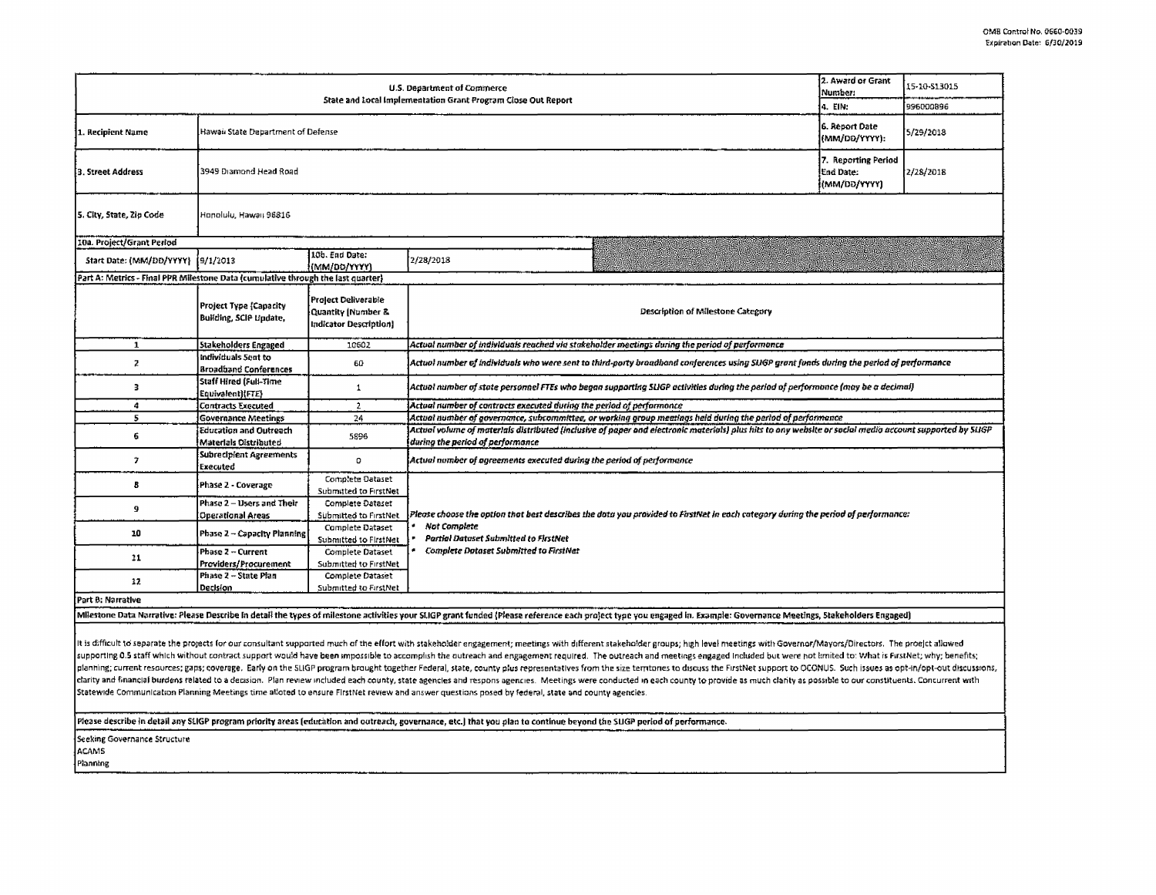| 2. Award or Grant<br>U.S. Department of Commerce                                 |                                                         |                                                                      |                                                                                                                                                                                                                                                    |  | 15-10-513015 |  |  |  |
|----------------------------------------------------------------------------------|---------------------------------------------------------|----------------------------------------------------------------------|----------------------------------------------------------------------------------------------------------------------------------------------------------------------------------------------------------------------------------------------------|--|--------------|--|--|--|
| State and Local Implementation Grant Program Close Out Report                    |                                                         |                                                                      |                                                                                                                                                                                                                                                    |  | 996000896    |  |  |  |
| 1. Recipient Name                                                                | Hawaii State Department of Defense                      |                                                                      |                                                                                                                                                                                                                                                    |  | 5/29/2018    |  |  |  |
| 3. Street Address                                                                | 3949 Diamond Head Road<br>(MM/DD/YYYY)                  |                                                                      |                                                                                                                                                                                                                                                    |  | 2/28/2018    |  |  |  |
| 5. City, State, Zip Code<br>Honolulu, Hawaii 96816                               |                                                         |                                                                      |                                                                                                                                                                                                                                                    |  |              |  |  |  |
| 10a. Project/Grant Period                                                        |                                                         |                                                                      |                                                                                                                                                                                                                                                    |  |              |  |  |  |
| Start Date: (MM/DD/YYYY) [9/1/2013                                               |                                                         | 10b. End Date:<br>{(MM/DD/YYYY)                                      | 2/28/2018                                                                                                                                                                                                                                          |  |              |  |  |  |
| Part A: Metrics - Final PPR Milestone Data (cumulative through the last quarter) |                                                         |                                                                      |                                                                                                                                                                                                                                                    |  |              |  |  |  |
|                                                                                  | <b>Project Type (Capacity</b><br>Building, SCIP Update, | Project Deliverable<br>Quantity   Number &<br>Indicator Description] | Description of Milestone Category                                                                                                                                                                                                                  |  |              |  |  |  |
| 1                                                                                | Stakeholders Engaged                                    | 10602                                                                | Actual number of individuals reached via stakeholder meetings during the period of performance.                                                                                                                                                    |  |              |  |  |  |
| $\mathbf{z}$                                                                     | Individuals Sent to<br><b>Broadband Conferences</b>     | 60                                                                   | Actual number of individuals who were sent to third-party braadband conferences using SLIGP grant funds during the period of performance                                                                                                           |  |              |  |  |  |
| в                                                                                | Staff Hired (Full-Time<br>Equivalent){FTE}              | $\mathbf{1}$                                                         | Actual number of state personnel FTEs who began supporting SLIGP activities during the period of performance (may be a decimal)                                                                                                                    |  |              |  |  |  |
| 4                                                                                | Contracts Executed                                      | $\mathbf{2}$                                                         | Actual number of contracts executed during the period of performance                                                                                                                                                                               |  |              |  |  |  |
| 5                                                                                | <b>Governance Meetings</b>                              | 24                                                                   | Actual number of governance, subcommittee, or working group meetings held during the period of performance                                                                                                                                         |  |              |  |  |  |
| 6                                                                                | Education and Outreach<br>Materials Distributed         | 5896                                                                 | Actual volume of materials distributed (inclusive of paper and electronic materials) plus hits to any website or sacial media account supported by SUGP<br>during the period of performance                                                        |  |              |  |  |  |
| $\pmb{\tau}$                                                                     | Subrecipient Agreements<br>Executed                     | 0                                                                    | Actual number of agreements executed during the period of performance.                                                                                                                                                                             |  |              |  |  |  |
| 8                                                                                | Phase 2 - Coverage                                      | Complete Dataset<br><b>Submitted to FirstNet</b>                     |                                                                                                                                                                                                                                                    |  |              |  |  |  |
| 9                                                                                | Phase 2 - Users and Their<br><b>Operational Areas</b>   | <b>Complete Dataset</b><br>Submitted to FirstNet                     | Please choose the option that best describes the data you provided to FirstNet in each category during the period of performance:<br>Not Complete<br><b>Partial Dataset Submitted to FirstNet</b><br><b>Complete Dataset Submitted to FirstNet</b> |  |              |  |  |  |
| 10                                                                               | Phase 2 - Capacity Planning                             | Complete Dataset<br>Submitted to FirstNet                            |                                                                                                                                                                                                                                                    |  |              |  |  |  |
| 11                                                                               | Phase 2 - Current<br>Providers/Procurement              | Complete Dataset<br>Submitted to FirstNet                            |                                                                                                                                                                                                                                                    |  |              |  |  |  |
| 12                                                                               | Phase 2 - State Plan<br>Decision                        | Complete Dataset<br>Submitted to FirstNet                            |                                                                                                                                                                                                                                                    |  |              |  |  |  |
| Part B: Narrative                                                                |                                                         |                                                                      |                                                                                                                                                                                                                                                    |  |              |  |  |  |
|                                                                                  |                                                         |                                                                      | Milestone Data Narrative: Please Describe in detail the types of milestone activities your SLIGP grant funded (Please reference each project type you engaged in. Example: Governance Meetings, Stakeholders Engaged)                              |  |              |  |  |  |

It is difficult to separate the projects for our consultant supported much of the effort with stakeholder engagement; meetings with different stakeholder groups; high level meetings with Governor/Mayors/Directors. The proe supporting 0.5 staff which without contract support would have been impossible to accomplish the outreach and engagement required. The outreach and meetings engaged included but were not krnited to: What is FirstNet; why; planning; current resources; gaps; coverage. Early on the SLIGP program brought together Federal, state, county plus representatives from the size territories to discuss the FirstNet support to OCONUS. Such issues as opt-i clarity and financial burdens related to a deusion. Plan review included each county, state agencies and respons agencies. Meetings were conducted in each county to provide as much clarity as possible to our constituents. Statewide Communication Planning Meetings time alloted to ensure FirstNet review and answer questions posed by federal, state and county agencies.

Please describe in detail any SLIGP program priority areas (education and outreach, governance, etc.) that you plan to continue beyond the SLIGP period of performance.

Seeking Governance Structure

**ACAMS** 

Planning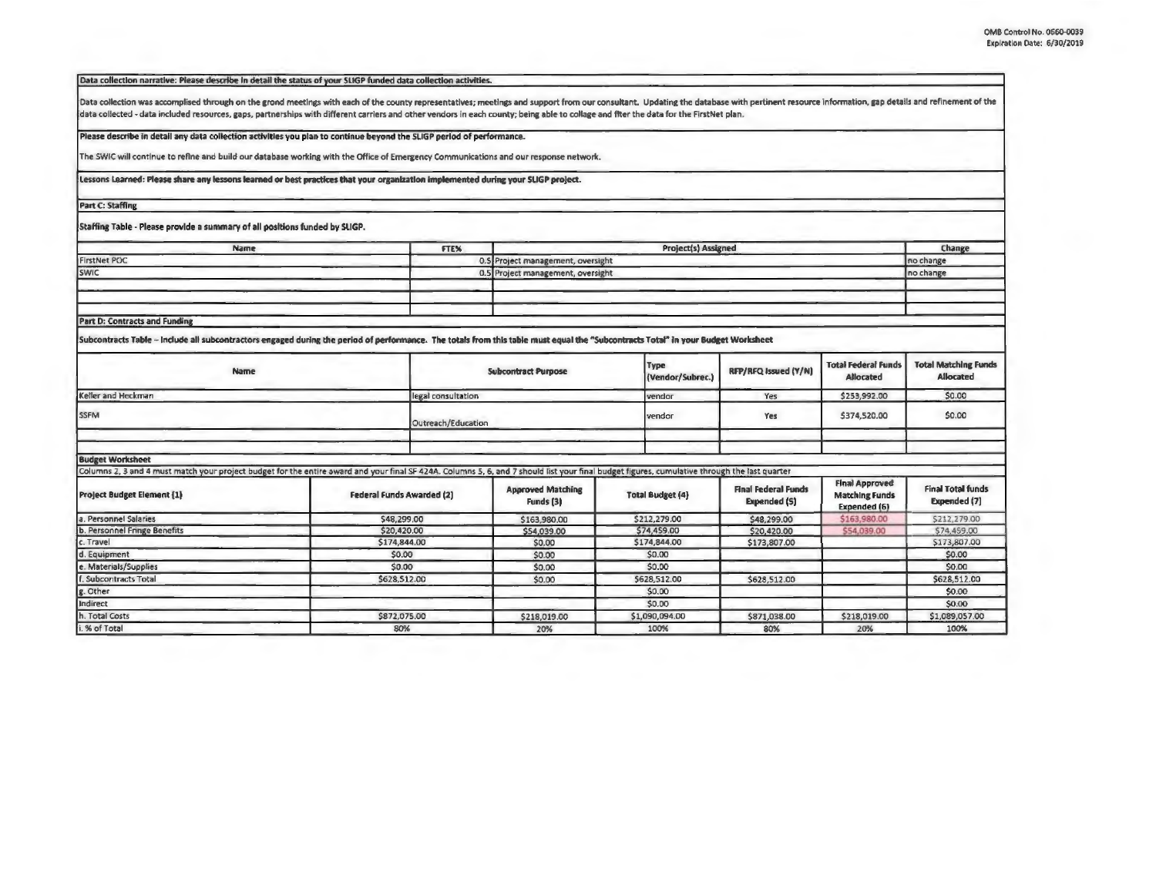Data collection narrative: Please describe in detail the status of your SLIGP funded data collection activities.

Data collection was accomplised through on the grond meetings with each of the county representatives; meetings and support from our consultant. Updating the database with pertinent resource information, gap details and re data collected - data included resources, gaps, partnerships with different carriers and other vendors in each county; being able to collage and fiter the data for the FirstNet plan.

Please describe in detail any data collection activities you plan to continue beyond the SLIGP period of performance.

The SWIC will continue to refine and build our database working with the Office of Emergency Communications and our response network.

Lessons Learned: Please share any lessons learned or best practices that your organization implemented during your SLIGP project.

**Part C: Staffing** 

Staffing Table - Please provide a summary of all positions funded by SLIGP.

| Name                                 | FTE%                              | <b>Project(s) Assigned</b>        | Change     |
|--------------------------------------|-----------------------------------|-----------------------------------|------------|
| <b>FirstNet POC</b>                  | 0.5 Project management, oversight |                                   | Ino change |
| SWIC                                 |                                   | 0.5 Project management, oversight | no change  |
|                                      |                                   |                                   |            |
|                                      |                                   |                                   |            |
|                                      |                                   |                                   |            |
| <b>Part D: Contracts and Funding</b> |                                   |                                   |            |

Subcontracts Table - Include all subcontractors engaged during the period of performance. The totals from this table must equal the "Subcontracts Total" in your Budget Worksheet

| <b>Name</b>                                                                                                                                                                                   |                           |                    | <b>Subcontract Purpose</b>            | Type<br>(Vendor/Subrec.) | RFP/RFQ Issued (Y/N)                              | <b>Total Federal Funds</b><br><b>Allocated</b>                 | <b>Total Matching Funds</b><br>Allocated |
|-----------------------------------------------------------------------------------------------------------------------------------------------------------------------------------------------|---------------------------|--------------------|---------------------------------------|--------------------------|---------------------------------------------------|----------------------------------------------------------------|------------------------------------------|
| Keller and Heckman                                                                                                                                                                            |                           | legal consultation |                                       | vendor                   | Yes                                               | \$253,992.00                                                   | \$0.00                                   |
| <b>SSFM</b>                                                                                                                                                                                   |                           | Outreach/Education |                                       | vendor                   | Yes                                               | \$374,520.00                                                   | \$0.00                                   |
|                                                                                                                                                                                               |                           |                    |                                       |                          |                                                   |                                                                |                                          |
| <b>Budget Worksheet</b>                                                                                                                                                                       |                           |                    |                                       |                          |                                                   |                                                                |                                          |
| Columns 2, 3 and 4 must match your project budget for the entire award and your final SF 424A. Columns 5, 6, and 7 should list your final budget figures, cumulative through the last quarter |                           |                    |                                       |                          |                                                   |                                                                |                                          |
| <b>Project Budget Element [1]</b>                                                                                                                                                             | Federal Funds Awarded (2) |                    | <b>Approved Matching</b><br>Funds [3] | <b>Total Budget (4)</b>  | <b>Final Federal Funds</b><br><b>Expended (S)</b> | <b>Final Approved</b><br><b>Matching Funds</b><br>Expended (6) | <b>Final Total funds</b><br>Expended (7) |
| a. Personnel Salaries                                                                                                                                                                         | \$48,299.00               |                    | \$163,980.00                          | \$212,279.00             | \$48,299.00                                       | \$163,980.00                                                   | \$212,279.00                             |
| b. Personnel Fringe Benefits                                                                                                                                                                  | \$20,420.00               |                    | \$54,039.00                           | \$74,459.00              | \$20,420.00                                       | \$54,039.00                                                    | \$74,459.00                              |
| c. Travel                                                                                                                                                                                     | \$174,844.00              |                    | \$0,00                                | \$174,844.00             | \$173,807.00                                      |                                                                | \$173,807.00                             |
| d. Equipment                                                                                                                                                                                  | \$0.00                    |                    | \$0.00                                | \$0.00                   |                                                   |                                                                | \$0.00                                   |
| e. Materials/Supplies                                                                                                                                                                         | \$0.00                    |                    | \$0.00                                | \$0.00                   |                                                   |                                                                | \$0.00                                   |
| f. Subcontracts Total                                                                                                                                                                         | \$628,512.00              |                    | \$0.00                                | \$628,512.00             | \$628,512.00                                      |                                                                | \$628,512.00                             |
| g. Other                                                                                                                                                                                      |                           |                    |                                       | \$0.00                   |                                                   |                                                                | \$0.00                                   |
| Indirect                                                                                                                                                                                      |                           |                    |                                       | \$0.00                   |                                                   |                                                                | \$0.00                                   |
| h. Total Costs                                                                                                                                                                                | \$872,075.00              |                    | \$218,019.00                          | \$1,090,094.00           | \$871,038.00                                      | \$218,019.00                                                   | \$1,089,057.00                           |
| i. % of Total                                                                                                                                                                                 | 80%                       |                    | 20%                                   | 100%                     | 80%                                               | 20%                                                            | 100%                                     |